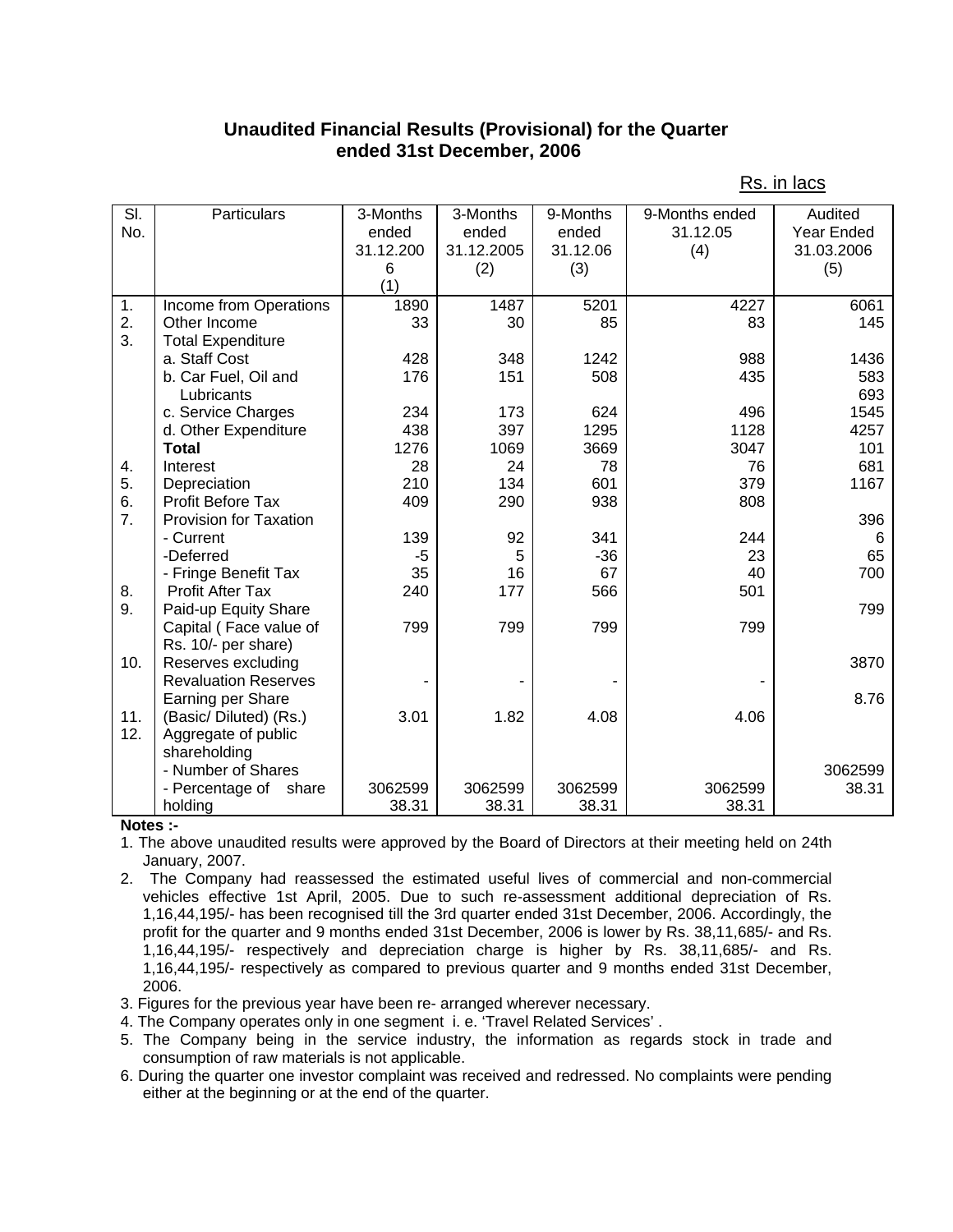## **Unaudited Financial Results (Provisional) for the Quarter ended 31st December, 2006**

| SI. | Particulars                   | 3-Months   | 3-Months   | 9-Months | 9-Months ended | Audited           |
|-----|-------------------------------|------------|------------|----------|----------------|-------------------|
| No. |                               | ended      | ended      | ended    | 31.12.05       | <b>Year Ended</b> |
|     |                               | 31.12.200  | 31.12.2005 | 31.12.06 | (4)            | 31.03.2006        |
|     |                               | 6          | (2)        | (3)      |                | (5)               |
|     |                               | (1)        |            |          |                |                   |
| 1.  | Income from Operations        | 1890       | 1487       | 5201     | 4227           | 6061              |
| 2.  | Other Income                  | 33         | 30         | 85       | 83             | 145               |
| 3.  | <b>Total Expenditure</b>      |            |            |          |                |                   |
|     | a. Staff Cost                 | 428        | 348        | 1242     | 988            | 1436              |
|     | b. Car Fuel, Oil and          | 176        | 151        | 508      | 435            | 583               |
|     |                               |            |            |          |                | 693               |
|     | Lubricants                    |            | 173        | 624      | 496            | 1545              |
|     | c. Service Charges            | 234<br>438 | 397        | 1295     | 1128           |                   |
|     | d. Other Expenditure          |            |            |          |                | 4257              |
|     | <b>Total</b>                  | 1276       | 1069       | 3669     | 3047           | 101               |
| 4.  | Interest                      | 28         | 24         | 78       | 76             | 681               |
| 5.  | Depreciation                  | 210        | 134        | 601      | 379            | 1167              |
| 6.  | <b>Profit Before Tax</b>      | 409        | 290        | 938      | 808            |                   |
| 7.  | <b>Provision for Taxation</b> |            |            |          |                | 396               |
|     | - Current                     | 139        | 92         | 341      | 244            | 6                 |
|     | -Deferred                     | -5         | 5          | $-36$    | 23             | 65                |
|     | - Fringe Benefit Tax          | 35         | 16         | 67       | 40             | 700               |
| 8.  | <b>Profit After Tax</b>       | 240        | 177        | 566      | 501            |                   |
| 9.  | Paid-up Equity Share          |            |            |          |                | 799               |
|     | Capital (Face value of        | 799        | 799        | 799      | 799            |                   |
|     | Rs. 10/- per share)           |            |            |          |                |                   |
| 10. | Reserves excluding            |            |            |          |                | 3870              |
|     | <b>Revaluation Reserves</b>   |            |            |          |                |                   |
|     | Earning per Share             |            |            |          |                | 8.76              |
| 11. | (Basic/Diluted) (Rs.)         | 3.01       | 1.82       | 4.08     | 4.06           |                   |
| 12. | Aggregate of public           |            |            |          |                |                   |
|     | shareholding                  |            |            |          |                |                   |
|     | - Number of Shares            |            |            |          |                | 3062599           |
|     | - Percentage of<br>share      | 3062599    | 3062599    | 3062599  | 3062599        | 38.31             |
|     | holding                       | 38.31      | 38.31      | 38.31    | 38.31          |                   |

Rs. in lacs

## **Notes :-**

- 1. The above unaudited results were approved by the Board of Directors at their meeting held on 24th January, 2007.
- 2. The Company had reassessed the estimated useful lives of commercial and non-commercial vehicles effective 1st April, 2005. Due to such re-assessment additional depreciation of Rs. 1,16,44,195/- has been recognised till the 3rd quarter ended 31st December, 2006. Accordingly, the profit for the quarter and 9 months ended 31st December, 2006 is lower by Rs. 38,11,685/- and Rs. 1,16,44,195/- respectively and depreciation charge is higher by Rs. 38,11,685/- and Rs. 1,16,44,195/- respectively as compared to previous quarter and 9 months ended 31st December, 2006.
- 3. Figures for the previous year have been re- arranged wherever necessary.
- 4. The Company operates only in one segment i. e. 'Travel Related Services' .
- 5. The Company being in the service industry, the information as regards stock in trade and consumption of raw materials is not applicable.
- 6. During the quarter one investor complaint was received and redressed. No complaints were pending either at the beginning or at the end of the quarter.